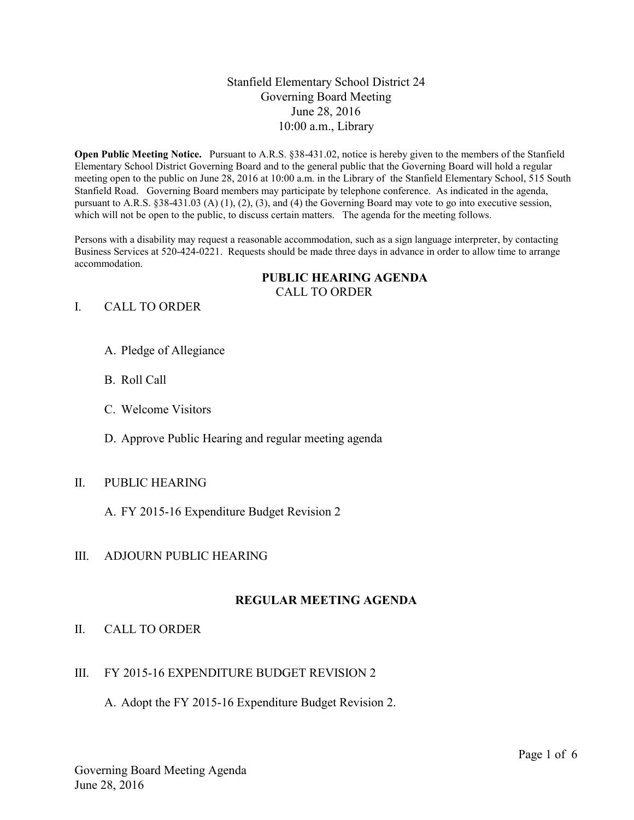## Stanfield Elementary School District 24 Governing Board Meeting June 28, 2016 10:00 a.m., Library

**Open Public Meeting Notice.** Pursuant to A.R.S. §38-431.02, notice is hereby given to the members of the Stanfield Elementary School District Governing Board and to the general public that the Governing Board will hold a regular meeting open to the public on June 28, 2016 at 10:00 a.m. in the Library of the Stanfield Elementary School, 515 South Stanfield Road. Governing Board members may participate by telephone conference. As indicated in the agenda, pursuant to A.R.S. §38-431.03 (A) (1), (2), (3), and (4) the Governing Board may vote to go into executive session, which will not be open to the public, to discuss certain matters. The agenda for the meeting follows.

Persons with a disability may request a reasonable accommodation, such as a sign language interpreter, by contacting Business Services at 520-424-0221. Requests should be made three days in advance in order to allow time to arrange accommodation.

#### **PUBLIC HEARING AGENDA** CALL TO ORDER

### I. CALL TO ORDER

- A. Pledge of Allegiance
- B. Roll Call
- C. Welcome Visitors
- D. Approve Public Hearing and regular meeting agenda

### II. PUBLIC HEARING

A. FY 2015-16 Expenditure Budget Revision 2

### III. ADJOURN PUBLIC HEARING

### **REGULAR MEETING AGENDA**

### II. CALL TO ORDER

### III. FY 2015-16 EXPENDITURE BUDGET REVISION 2

A. Adopt the FY 2015-16 Expenditure Budget Revision 2.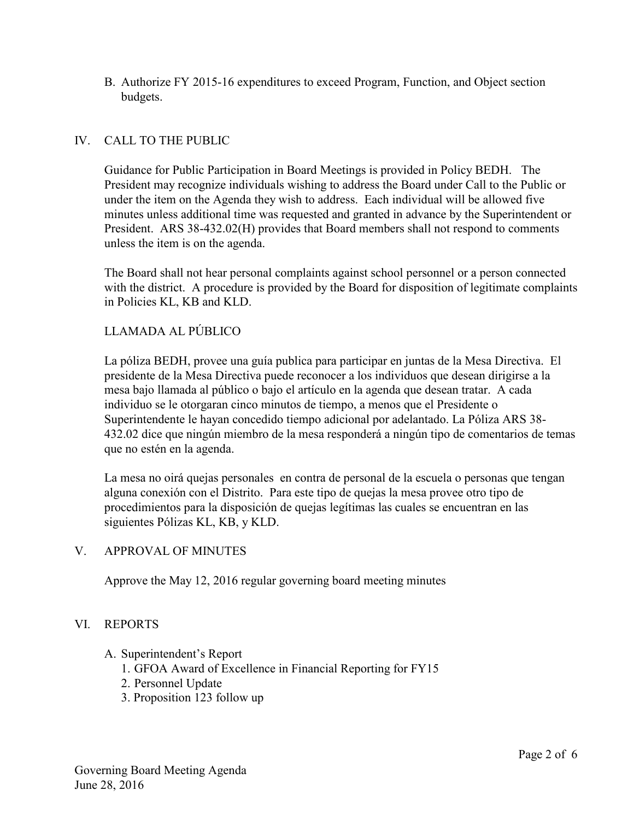B. Authorize FY 2015-16 expenditures to exceed Program, Function, and Object section budgets.

# IV. CALL TO THE PUBLIC

Guidance for Public Participation in Board Meetings is provided in Policy BEDH. The President may recognize individuals wishing to address the Board under Call to the Public or under the item on the Agenda they wish to address. Each individual will be allowed five minutes unless additional time was requested and granted in advance by the Superintendent or President. ARS 38-432.02(H) provides that Board members shall not respond to comments unless the item is on the agenda.

The Board shall not hear personal complaints against school personnel or a person connected with the district. A procedure is provided by the Board for disposition of legitimate complaints in Policies KL, KB and KLD.

### LLAMADA AL PÚBLICO

La póliza BEDH, provee una guía publica para participar en juntas de la Mesa Directiva. El presidente de la Mesa Directiva puede reconocer a los individuos que desean dirigirse a la mesa bajo llamada al público o bajo el artículo en la agenda que desean tratar. A cada individuo se le otorgaran cinco minutos de tiempo, a menos que el Presidente o Superintendente le hayan concedido tiempo adicional por adelantado. La Póliza ARS 38- 432.02 dice que ningún miembro de la mesa responderá a ningún tipo de comentarios de temas que no estén en la agenda.

La mesa no oirá quejas personales en contra de personal de la escuela o personas que tengan alguna conexión con el Distrito. Para este tipo de quejas la mesa provee otro tipo de procedimientos para la disposición de quejas legítimas las cuales se encuentran en las siguientes Pólizas KL, KB, y KLD.

### V. APPROVAL OF MINUTES

Approve the May 12, 2016 regular governing board meeting minutes

### VI. REPORTS

- A. Superintendent's Report
	- 1. GFOA Award of Excellence in Financial Reporting for FY15
	- 2. Personnel Update
	- 3. Proposition 123 follow up